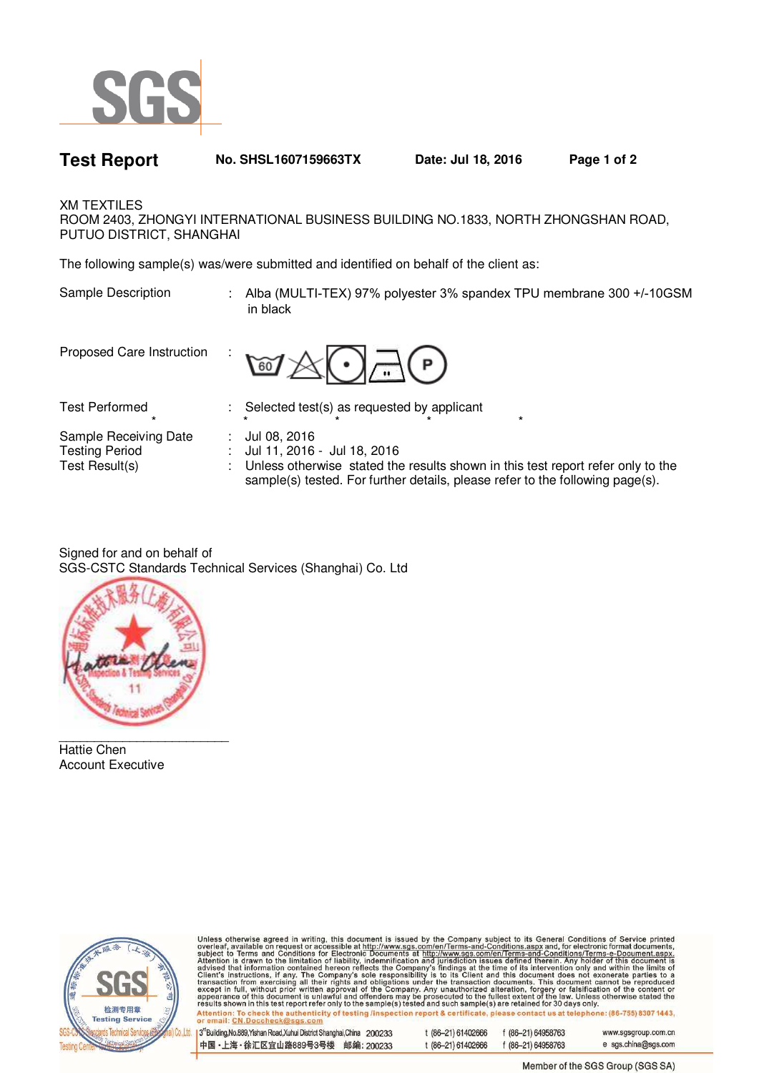

**Test Report No. SHSL1607159663TX Date: Jul 18, 2016 Page 1 of 2** 

XM TEXTILES

ROOM 2403, ZHONGYI INTERNATIONAL BUSINESS BUILDING NO.1833, NORTH ZHONGSHAN ROAD, PUTUO DISTRICT, SHANGHAI

The following sample(s) was/were submitted and identified on behalf of the client as:

Sample Description : Alba (MULTI-TEX) 97% polyester 3% spandex TPU membrane 300 +/-10GSM in black

Proposed Care Instruction :



Test Performed : Selected test(s) as requested by applicant

\* \* \* \* \* \* \* \* Sample Receiving Date : Jul 08, 2016

Testing Period : Jul 11, 2016 - Jul 18, 2016

Test Result(s) : Unless otherwise stated the results shown in this test report refer only to the sample(s) tested. For further details, please refer to the following page(s).

Signed for and on behalf of SGS-CSTC Standards Technical Services (Shanghai) Co. Ltd



Hattie Chen Account Executive



Unless otherwise agreed in writing, this document is issued by the Company subject to its General Conditions of Service printed overleaf, available on request or accessible at http://www.sgs.com/en/Terms-and-Conditions.as

| 13 <sup>rd</sup> Building, No.889, Yishan Road, Xuhui District Shanghai, China 200233 | t (86–21) 61402666 | f (86-21) 64958763 | www.sgsgroup.com.cn |
|---------------------------------------------------------------------------------------|--------------------|--------------------|---------------------|
| 中国・上海・徐汇区宜山路889号3号楼 邮编: 200233                                                        | t (86-21) 61402666 | $f(86-21)64958763$ | e sgs.china@sgs.com |

Member of the SGS Group (SGS SA)